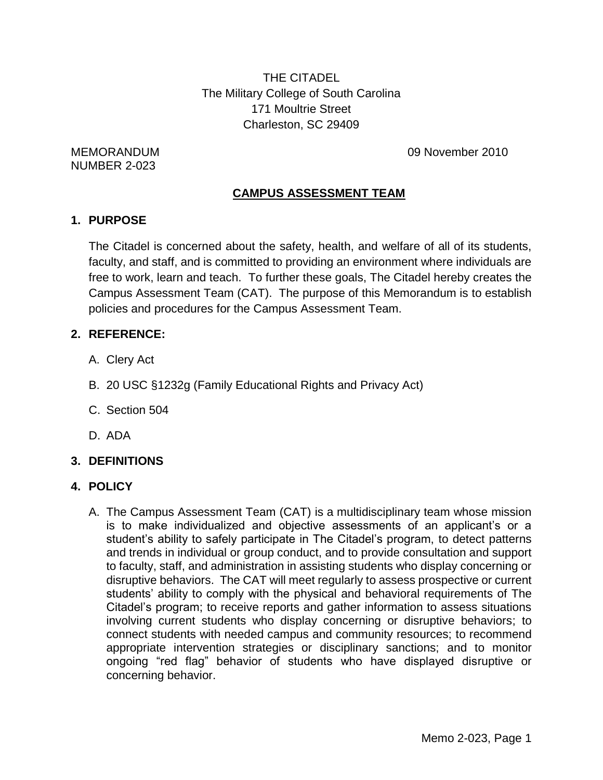THE CITADEL The Military College of South Carolina 171 Moultrie Street Charleston, SC 29409

NUMBER 2-023

MEMORANDUM 09 November 2010

## **CAMPUS ASSESSMENT TEAM**

### **1. PURPOSE**

The Citadel is concerned about the safety, health, and welfare of all of its students, faculty, and staff, and is committed to providing an environment where individuals are free to work, learn and teach. To further these goals, The Citadel hereby creates the Campus Assessment Team (CAT). The purpose of this Memorandum is to establish policies and procedures for the Campus Assessment Team.

## **2. REFERENCE:**

- A. Clery Act
- B. 20 USC §1232g (Family Educational Rights and Privacy Act)
- C. Section 504
- D. ADA

## **3. DEFINITIONS**

## **4. POLICY**

A. The Campus Assessment Team (CAT) is a multidisciplinary team whose mission is to make individualized and objective assessments of an applicant's or a student's ability to safely participate in The Citadel's program, to detect patterns and trends in individual or group conduct, and to provide consultation and support to faculty, staff, and administration in assisting students who display concerning or disruptive behaviors. The CAT will meet regularly to assess prospective or current students' ability to comply with the physical and behavioral requirements of The Citadel's program; to receive reports and gather information to assess situations involving current students who display concerning or disruptive behaviors; to connect students with needed campus and community resources; to recommend appropriate intervention strategies or disciplinary sanctions; and to monitor ongoing "red flag" behavior of students who have displayed disruptive or concerning behavior.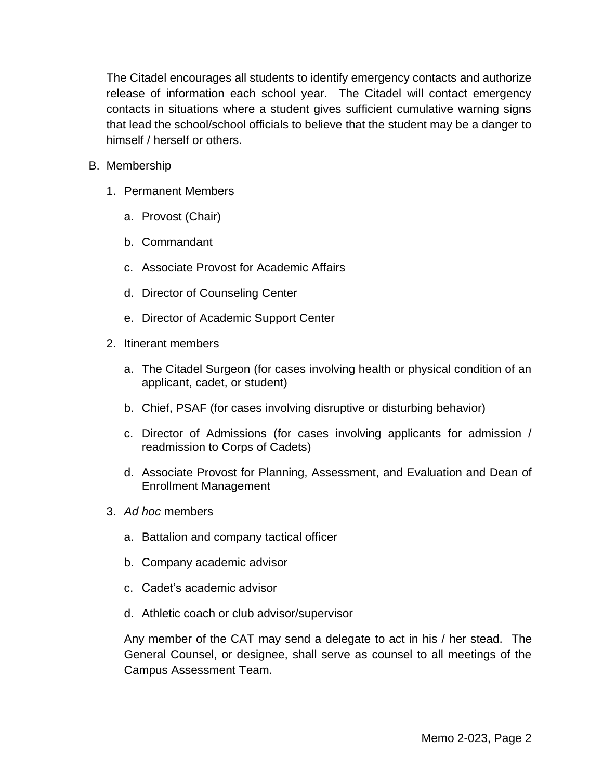The Citadel encourages all students to identify emergency contacts and authorize release of information each school year. The Citadel will contact emergency contacts in situations where a student gives sufficient cumulative warning signs that lead the school/school officials to believe that the student may be a danger to himself / herself or others.

- B. Membership
	- 1. Permanent Members
		- a. Provost (Chair)
		- b. Commandant
		- c. Associate Provost for Academic Affairs
		- d. Director of Counseling Center
		- e. Director of Academic Support Center
	- 2. Itinerant members
		- a. The Citadel Surgeon (for cases involving health or physical condition of an applicant, cadet, or student)
		- b. Chief, PSAF (for cases involving disruptive or disturbing behavior)
		- c. Director of Admissions (for cases involving applicants for admission / readmission to Corps of Cadets)
		- d. Associate Provost for Planning, Assessment, and Evaluation and Dean of Enrollment Management
	- 3. *Ad hoc* members
		- a. Battalion and company tactical officer
		- b. Company academic advisor
		- c. Cadet's academic advisor
		- d. Athletic coach or club advisor/supervisor

Any member of the CAT may send a delegate to act in his / her stead. The General Counsel, or designee, shall serve as counsel to all meetings of the Campus Assessment Team.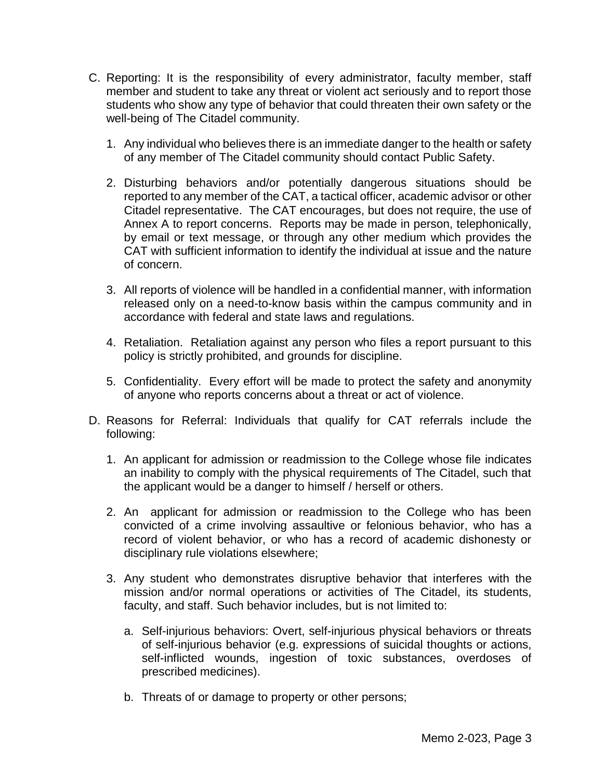- C. Reporting: It is the responsibility of every administrator, faculty member, staff member and student to take any threat or violent act seriously and to report those students who show any type of behavior that could threaten their own safety or the well-being of The Citadel community.
	- 1. Any individual who believes there is an immediate danger to the health or safety of any member of The Citadel community should contact Public Safety.
	- 2. Disturbing behaviors and/or potentially dangerous situations should be reported to any member of the CAT, a tactical officer, academic advisor or other Citadel representative. The CAT encourages, but does not require, the use of Annex A to report concerns. Reports may be made in person, telephonically, by email or text message, or through any other medium which provides the CAT with sufficient information to identify the individual at issue and the nature of concern.
	- 3. All reports of violence will be handled in a confidential manner, with information released only on a need-to-know basis within the campus community and in accordance with federal and state laws and regulations.
	- 4. Retaliation. Retaliation against any person who files a report pursuant to this policy is strictly prohibited, and grounds for discipline.
	- 5. Confidentiality. Every effort will be made to protect the safety and anonymity of anyone who reports concerns about a threat or act of violence.
- D. Reasons for Referral: Individuals that qualify for CAT referrals include the following:
	- 1. An applicant for admission or readmission to the College whose file indicates an inability to comply with the physical requirements of The Citadel, such that the applicant would be a danger to himself / herself or others.
	- 2. An applicant for admission or readmission to the College who has been convicted of a crime involving assaultive or felonious behavior, who has a record of violent behavior, or who has a record of academic dishonesty or disciplinary rule violations elsewhere;
	- 3. Any student who demonstrates disruptive behavior that interferes with the mission and/or normal operations or activities of The Citadel, its students, faculty, and staff. Such behavior includes, but is not limited to:
		- a. Self-injurious behaviors: Overt, self-injurious physical behaviors or threats of self-injurious behavior (e.g. expressions of suicidal thoughts or actions, self-inflicted wounds, ingestion of toxic substances, overdoses of prescribed medicines).
		- b. Threats of or damage to property or other persons;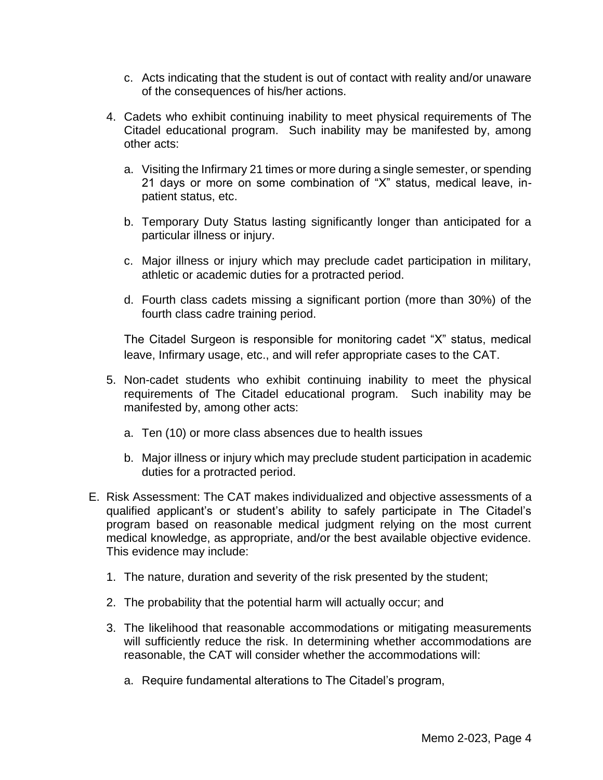- c. Acts indicating that the student is out of contact with reality and/or unaware of the consequences of his/her actions.
- 4. Cadets who exhibit continuing inability to meet physical requirements of The Citadel educational program. Such inability may be manifested by, among other acts:
	- a. Visiting the Infirmary 21 times or more during a single semester, or spending 21 days or more on some combination of "X" status, medical leave, inpatient status, etc.
	- b. Temporary Duty Status lasting significantly longer than anticipated for a particular illness or injury.
	- c. Major illness or injury which may preclude cadet participation in military, athletic or academic duties for a protracted period.
	- d. Fourth class cadets missing a significant portion (more than 30%) of the fourth class cadre training period.

The Citadel Surgeon is responsible for monitoring cadet "X" status, medical leave, Infirmary usage, etc., and will refer appropriate cases to the CAT.

- 5. Non-cadet students who exhibit continuing inability to meet the physical requirements of The Citadel educational program. Such inability may be manifested by, among other acts:
	- a. Ten (10) or more class absences due to health issues
	- b. Major illness or injury which may preclude student participation in academic duties for a protracted period.
- E. Risk Assessment: The CAT makes individualized and objective assessments of a qualified applicant's or student's ability to safely participate in The Citadel's program based on reasonable medical judgment relying on the most current medical knowledge, as appropriate, and/or the best available objective evidence. This evidence may include:
	- 1. The nature, duration and severity of the risk presented by the student;
	- 2. The probability that the potential harm will actually occur; and
	- 3. The likelihood that reasonable accommodations or mitigating measurements will sufficiently reduce the risk. In determining whether accommodations are reasonable, the CAT will consider whether the accommodations will:
		- a. Require fundamental alterations to The Citadel's program,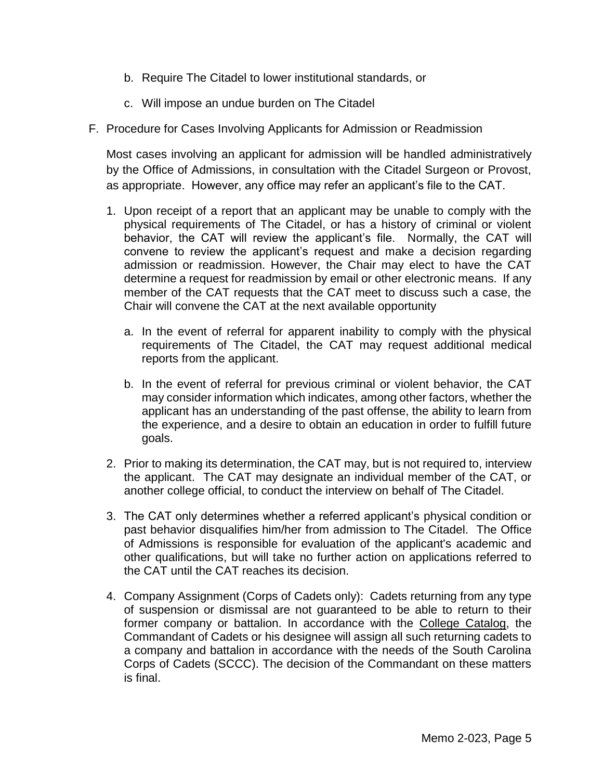- b. Require The Citadel to lower institutional standards, or
- c. Will impose an undue burden on The Citadel
- F. Procedure for Cases Involving Applicants for Admission or Readmission

Most cases involving an applicant for admission will be handled administratively by the Office of Admissions, in consultation with the Citadel Surgeon or Provost, as appropriate. However, any office may refer an applicant's file to the CAT.

- 1. Upon receipt of a report that an applicant may be unable to comply with the physical requirements of The Citadel, or has a history of criminal or violent behavior, the CAT will review the applicant's file. Normally, the CAT will convene to review the applicant's request and make a decision regarding admission or readmission. However, the Chair may elect to have the CAT determine a request for readmission by email or other electronic means. If any member of the CAT requests that the CAT meet to discuss such a case, the Chair will convene the CAT at the next available opportunity
	- a. In the event of referral for apparent inability to comply with the physical requirements of The Citadel, the CAT may request additional medical reports from the applicant.
	- b. In the event of referral for previous criminal or violent behavior, the CAT may consider information which indicates, among other factors, whether the applicant has an understanding of the past offense, the ability to learn from the experience, and a desire to obtain an education in order to fulfill future goals.
- 2. Prior to making its determination, the CAT may, but is not required to, interview the applicant. The CAT may designate an individual member of the CAT, or another college official, to conduct the interview on behalf of The Citadel.
- 3. The CAT only determines whether a referred applicant's physical condition or past behavior disqualifies him/her from admission to The Citadel. The Office of Admissions is responsible for evaluation of the applicant's academic and other qualifications, but will take no further action on applications referred to the CAT until the CAT reaches its decision.
- 4. Company Assignment (Corps of Cadets only): Cadets returning from any type of suspension or dismissal are not guaranteed to be able to return to their former company or battalion. In accordance with the College Catalog, the Commandant of Cadets or his designee will assign all such returning cadets to a company and battalion in accordance with the needs of the South Carolina Corps of Cadets (SCCC). The decision of the Commandant on these matters is final.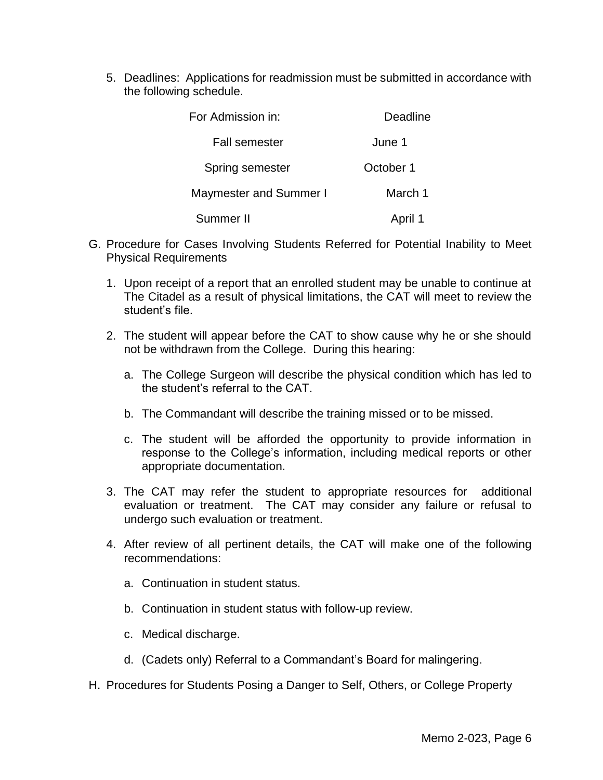5. Deadlines: Applications for readmission must be submitted in accordance with the following schedule.

| For Admission in:             | Deadline  |
|-------------------------------|-----------|
| <b>Fall semester</b>          | June 1    |
| Spring semester               | October 1 |
| <b>Maymester and Summer I</b> | March 1   |
| Summer II                     | April 1   |

- G. Procedure for Cases Involving Students Referred for Potential Inability to Meet Physical Requirements
	- 1. Upon receipt of a report that an enrolled student may be unable to continue at The Citadel as a result of physical limitations, the CAT will meet to review the student's file.
	- 2. The student will appear before the CAT to show cause why he or she should not be withdrawn from the College. During this hearing:
		- a. The College Surgeon will describe the physical condition which has led to the student's referral to the CAT.
		- b. The Commandant will describe the training missed or to be missed.
		- c. The student will be afforded the opportunity to provide information in response to the College's information, including medical reports or other appropriate documentation.
	- 3. The CAT may refer the student to appropriate resources for additional evaluation or treatment. The CAT may consider any failure or refusal to undergo such evaluation or treatment.
	- 4. After review of all pertinent details, the CAT will make one of the following recommendations:
		- a. Continuation in student status.
		- b. Continuation in student status with follow-up review.
		- c. Medical discharge.
		- d. (Cadets only) Referral to a Commandant's Board for malingering.
- H. Procedures for Students Posing a Danger to Self, Others, or College Property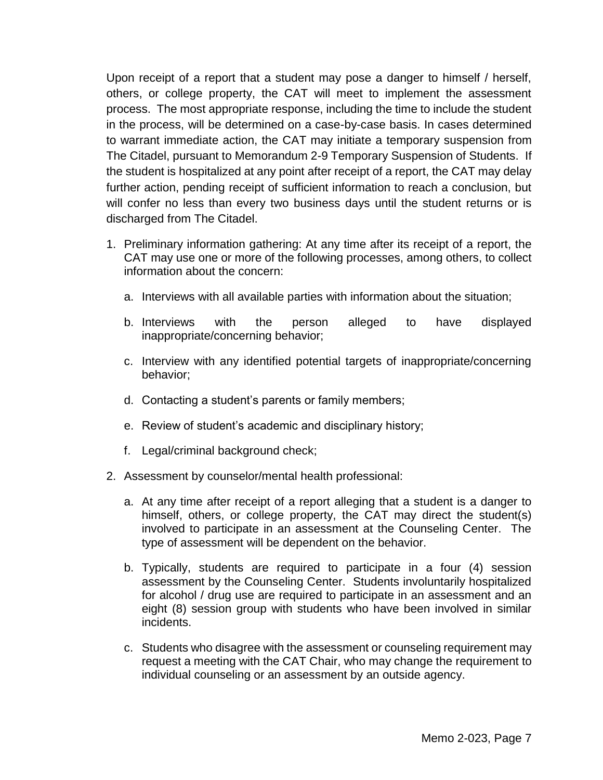Upon receipt of a report that a student may pose a danger to himself / herself, others, or college property, the CAT will meet to implement the assessment process. The most appropriate response, including the time to include the student in the process, will be determined on a case-by-case basis. In cases determined to warrant immediate action, the CAT may initiate a temporary suspension from The Citadel, pursuant to Memorandum 2-9 Temporary Suspension of Students. If the student is hospitalized at any point after receipt of a report, the CAT may delay further action, pending receipt of sufficient information to reach a conclusion, but will confer no less than every two business days until the student returns or is discharged from The Citadel.

- 1. Preliminary information gathering: At any time after its receipt of a report, the CAT may use one or more of the following processes, among others, to collect information about the concern:
	- a. Interviews with all available parties with information about the situation;
	- b. Interviews with the person alleged to have displayed inappropriate/concerning behavior;
	- c. Interview with any identified potential targets of inappropriate/concerning behavior;
	- d. Contacting a student's parents or family members;
	- e. Review of student's academic and disciplinary history;
	- f. Legal/criminal background check;
- 2. Assessment by counselor/mental health professional:
	- a. At any time after receipt of a report alleging that a student is a danger to himself, others, or college property, the CAT may direct the student(s) involved to participate in an assessment at the Counseling Center. The type of assessment will be dependent on the behavior.
	- b. Typically, students are required to participate in a four (4) session assessment by the Counseling Center. Students involuntarily hospitalized for alcohol / drug use are required to participate in an assessment and an eight (8) session group with students who have been involved in similar incidents.
	- c. Students who disagree with the assessment or counseling requirement may request a meeting with the CAT Chair, who may change the requirement to individual counseling or an assessment by an outside agency.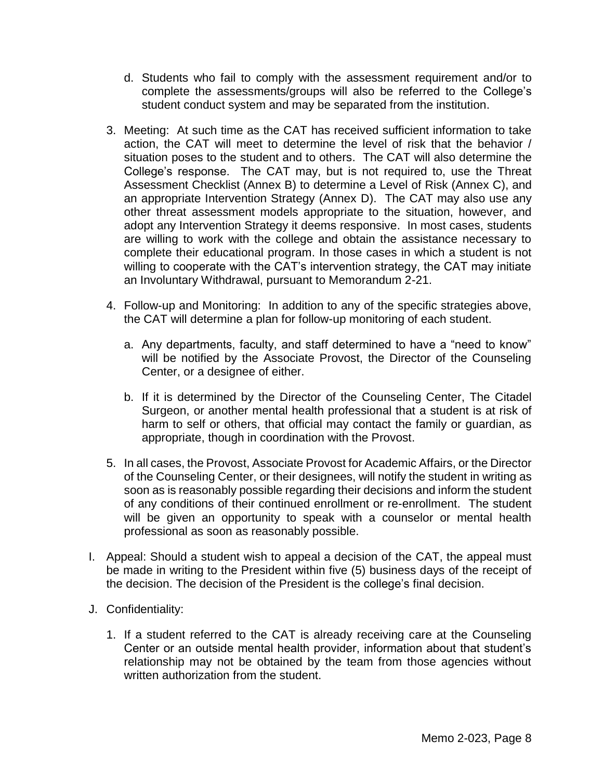- d. Students who fail to comply with the assessment requirement and/or to complete the assessments/groups will also be referred to the College's student conduct system and may be separated from the institution.
- 3. Meeting: At such time as the CAT has received sufficient information to take action, the CAT will meet to determine the level of risk that the behavior / situation poses to the student and to others. The CAT will also determine the College's response. The CAT may, but is not required to, use the Threat Assessment Checklist (Annex B) to determine a Level of Risk (Annex C), and an appropriate Intervention Strategy (Annex D). The CAT may also use any other threat assessment models appropriate to the situation, however, and adopt any Intervention Strategy it deems responsive. In most cases, students are willing to work with the college and obtain the assistance necessary to complete their educational program. In those cases in which a student is not willing to cooperate with the CAT's intervention strategy, the CAT may initiate an Involuntary Withdrawal, pursuant to Memorandum 2-21.
- 4. Follow-up and Monitoring: In addition to any of the specific strategies above, the CAT will determine a plan for follow-up monitoring of each student.
	- a. Any departments, faculty, and staff determined to have a "need to know" will be notified by the Associate Provost, the Director of the Counseling Center, or a designee of either.
	- b. If it is determined by the Director of the Counseling Center, The Citadel Surgeon, or another mental health professional that a student is at risk of harm to self or others, that official may contact the family or guardian, as appropriate, though in coordination with the Provost.
- 5. In all cases, the Provost, Associate Provost for Academic Affairs, or the Director of the Counseling Center, or their designees, will notify the student in writing as soon as is reasonably possible regarding their decisions and inform the student of any conditions of their continued enrollment or re-enrollment. The student will be given an opportunity to speak with a counselor or mental health professional as soon as reasonably possible.
- I. Appeal: Should a student wish to appeal a decision of the CAT, the appeal must be made in writing to the President within five (5) business days of the receipt of the decision. The decision of the President is the college's final decision.
- J. Confidentiality:
	- 1. If a student referred to the CAT is already receiving care at the Counseling Center or an outside mental health provider, information about that student's relationship may not be obtained by the team from those agencies without written authorization from the student.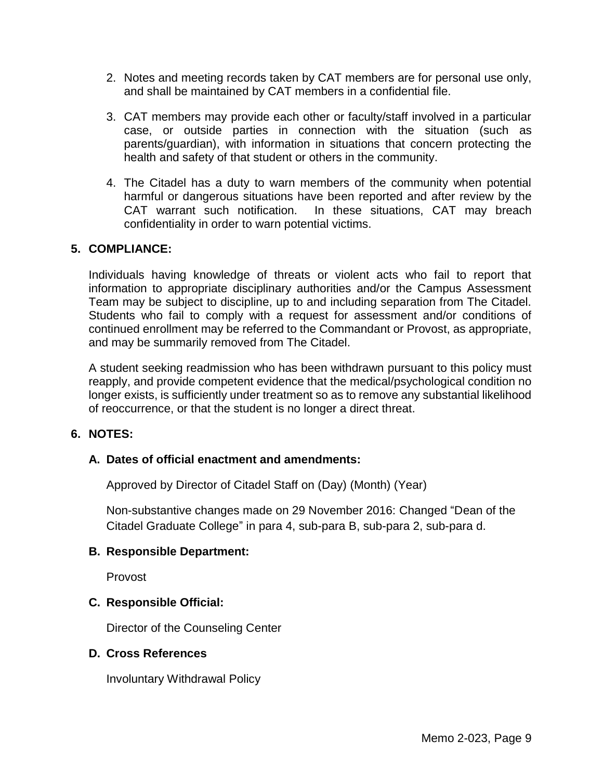- 2. Notes and meeting records taken by CAT members are for personal use only, and shall be maintained by CAT members in a confidential file.
- 3. CAT members may provide each other or faculty/staff involved in a particular case, or outside parties in connection with the situation (such as parents/guardian), with information in situations that concern protecting the health and safety of that student or others in the community.
- 4. The Citadel has a duty to warn members of the community when potential harmful or dangerous situations have been reported and after review by the CAT warrant such notification. In these situations, CAT may breach confidentiality in order to warn potential victims.

### **5. COMPLIANCE:**

Individuals having knowledge of threats or violent acts who fail to report that information to appropriate disciplinary authorities and/or the Campus Assessment Team may be subject to discipline, up to and including separation from The Citadel. Students who fail to comply with a request for assessment and/or conditions of continued enrollment may be referred to the Commandant or Provost, as appropriate, and may be summarily removed from The Citadel.

A student seeking readmission who has been withdrawn pursuant to this policy must reapply, and provide competent evidence that the medical/psychological condition no longer exists, is sufficiently under treatment so as to remove any substantial likelihood of reoccurrence, or that the student is no longer a direct threat.

### **6. NOTES:**

### **A. Dates of official enactment and amendments:**

Approved by Director of Citadel Staff on (Day) (Month) (Year)

Non-substantive changes made on 29 November 2016: Changed "Dean of the Citadel Graduate College" in para 4, sub-para B, sub-para 2, sub-para d.

### **B. Responsible Department:**

Provost

### **C. Responsible Official:**

Director of the Counseling Center

#### **D. Cross References**

Involuntary Withdrawal Policy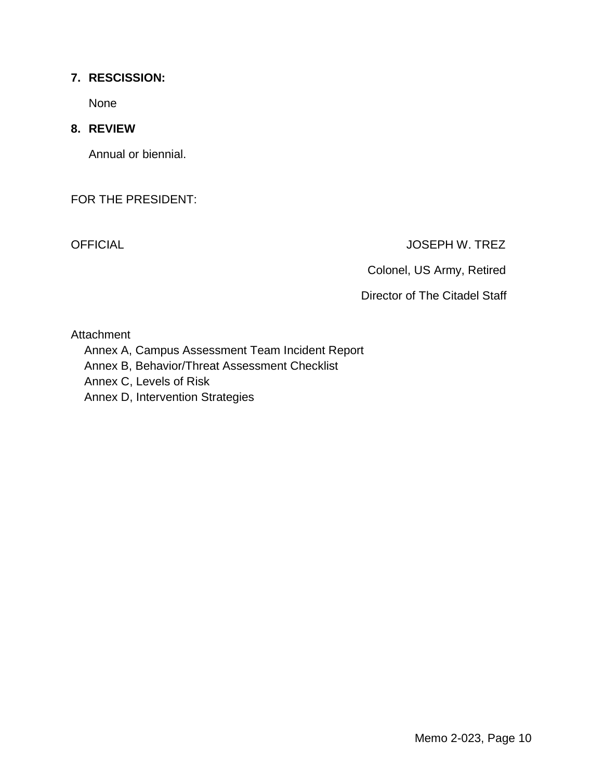## **7. RESCISSION:**

None

## **8. REVIEW**

Annual or biennial.

FOR THE PRESIDENT:

OFFICIAL JOSEPH W. TREZ

Colonel, US Army, Retired

Director of The Citadel Staff

Attachment

- Annex A, Campus Assessment Team Incident Report
- Annex B, Behavior/Threat Assessment Checklist
- Annex C, Levels of Risk
- Annex D, Intervention Strategies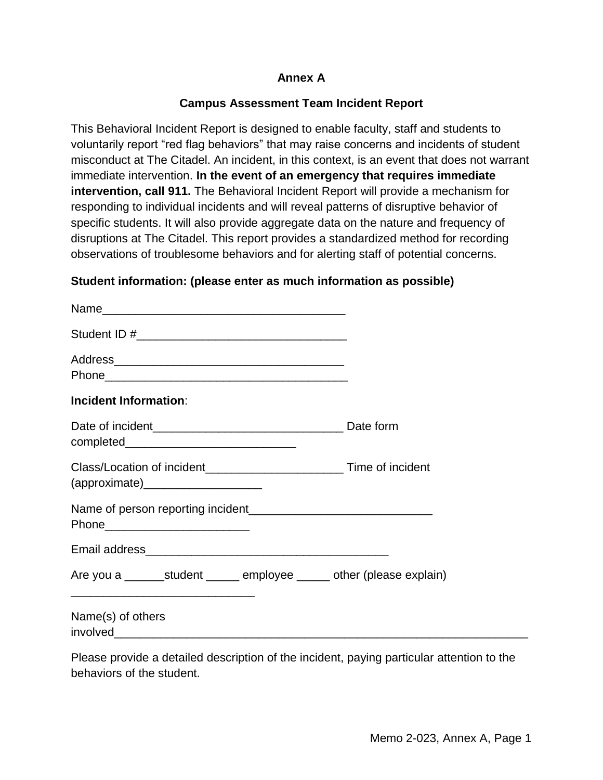## **Annex A**

## **Campus Assessment Team Incident Report**

This Behavioral Incident Report is designed to enable faculty, staff and students to voluntarily report "red flag behaviors" that may raise concerns and incidents of student misconduct at The Citadel. An incident, in this context, is an event that does not warrant immediate intervention. **In the event of an emergency that requires immediate intervention, call 911.** The Behavioral Incident Report will provide a mechanism for responding to individual incidents and will reveal patterns of disruptive behavior of specific students. It will also provide aggregate data on the nature and frequency of disruptions at The Citadel. This report provides a standardized method for recording observations of troublesome behaviors and for alerting staff of potential concerns.

### **Student information: (please enter as much information as possible)**

| <b>Incident Information:</b>                                                                          |  |
|-------------------------------------------------------------------------------------------------------|--|
|                                                                                                       |  |
| Class/Location of incident________________________________ Time of incident<br>$(\text{approximate})$ |  |
| Phone__________________________                                                                       |  |
|                                                                                                       |  |
| Are you a __________student ________ employee _______ other (please explain)                          |  |
| Name(s) of others                                                                                     |  |
| Dlogge provide a detailed departmins of the incident poving perticular offention to the               |  |

Please provide a detailed description of the incident, paying particular attention to the behaviors of the student.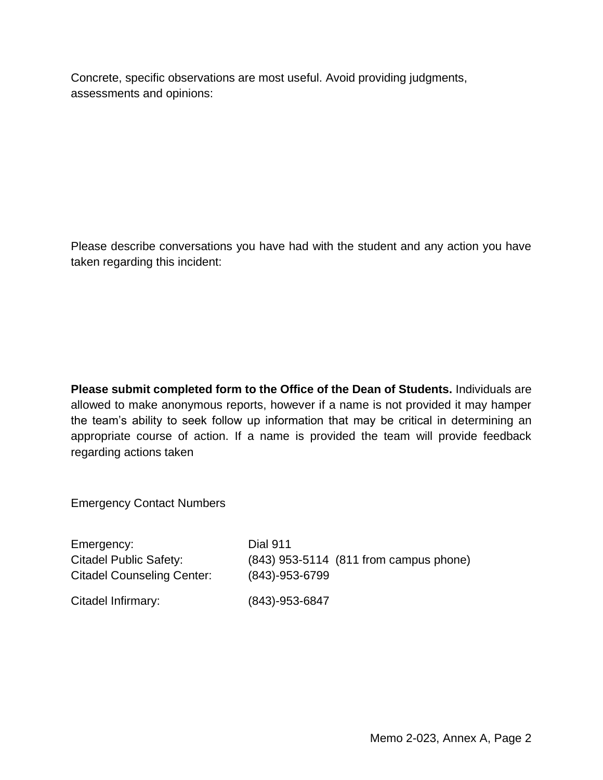Concrete, specific observations are most useful. Avoid providing judgments, assessments and opinions:

Please describe conversations you have had with the student and any action you have taken regarding this incident:

**Please submit completed form to the Office of the Dean of Students.** Individuals are allowed to make anonymous reports, however if a name is not provided it may hamper the team's ability to seek follow up information that may be critical in determining an appropriate course of action. If a name is provided the team will provide feedback regarding actions taken

Emergency Contact Numbers

Emergency: Dial 911 Citadel Public Safety: (843) 953-5114 (811 from campus phone) Citadel Counseling Center: (843)-953-6799 Citadel Infirmary: (843)-953-6847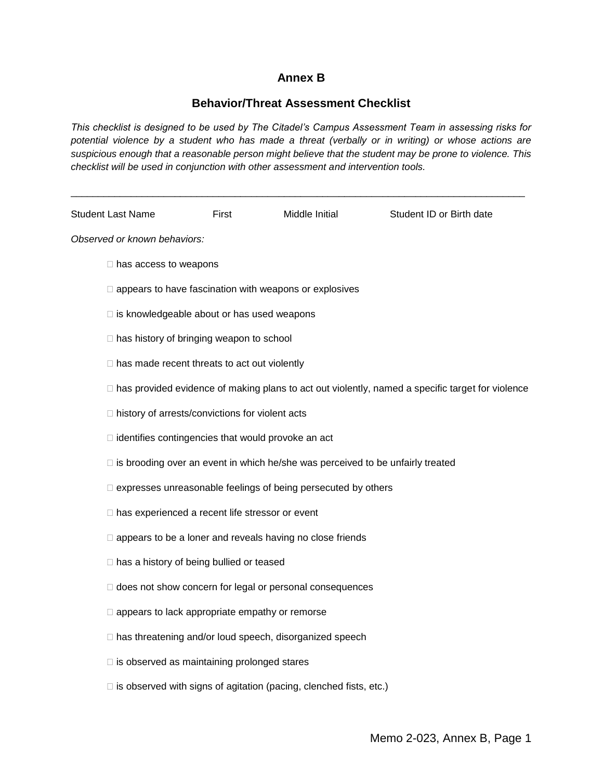## **Annex B**

## **Behavior/Threat Assessment Checklist**

*This checklist is designed to be used by The Citadel's Campus Assessment Team in assessing risks for potential violence by a student who has made a threat (verbally or in writing) or whose actions are suspicious enough that a reasonable person might believe that the student may be prone to violence. This checklist will be used in conjunction with other assessment and intervention tools.*

\_\_\_\_\_\_\_\_\_\_\_\_\_\_\_\_\_\_\_\_\_\_\_\_\_\_\_\_\_\_\_\_\_\_\_\_\_\_\_\_\_\_\_\_\_\_\_\_\_\_\_\_\_\_\_\_\_\_\_\_\_\_\_\_\_\_\_\_\_\_\_\_\_\_\_\_\_\_\_\_\_\_\_

| <b>Student Last Name</b>                                                                                | First | Middle Initial                                                            | Student ID or Birth date |  |  |
|---------------------------------------------------------------------------------------------------------|-------|---------------------------------------------------------------------------|--------------------------|--|--|
| Observed or known behaviors:                                                                            |       |                                                                           |                          |  |  |
| $\Box$ has access to weapons                                                                            |       |                                                                           |                          |  |  |
| $\Box$ appears to have fascination with weapons or explosives                                           |       |                                                                           |                          |  |  |
| $\Box$ is knowledgeable about or has used weapons                                                       |       |                                                                           |                          |  |  |
| □ has history of bringing weapon to school                                                              |       |                                                                           |                          |  |  |
| $\Box$ has made recent threats to act out violently                                                     |       |                                                                           |                          |  |  |
| $\Box$ has provided evidence of making plans to act out violently, named a specific target for violence |       |                                                                           |                          |  |  |
| □ history of arrests/convictions for violent acts                                                       |       |                                                                           |                          |  |  |
| $\Box$ identifies contingencies that would provoke an act                                               |       |                                                                           |                          |  |  |
| □ is brooding over an event in which he/she was perceived to be unfairly treated                        |       |                                                                           |                          |  |  |
| □ expresses unreasonable feelings of being persecuted by others                                         |       |                                                                           |                          |  |  |
| □ has experienced a recent life stressor or event                                                       |       |                                                                           |                          |  |  |
| $\Box$ appears to be a loner and reveals having no close friends                                        |       |                                                                           |                          |  |  |
| $\Box$ has a history of being bullied or teased                                                         |       |                                                                           |                          |  |  |
| I does not show concern for legal or personal consequences                                              |       |                                                                           |                          |  |  |
| $\Box$ appears to lack appropriate empathy or remorse                                                   |       |                                                                           |                          |  |  |
| □ has threatening and/or loud speech, disorganized speech                                               |       |                                                                           |                          |  |  |
| $\Box$ is observed as maintaining prolonged stares                                                      |       |                                                                           |                          |  |  |
|                                                                                                         |       | $\Box$ is observed with signs of agitation (pacing, clenched fists, etc.) |                          |  |  |
|                                                                                                         |       |                                                                           |                          |  |  |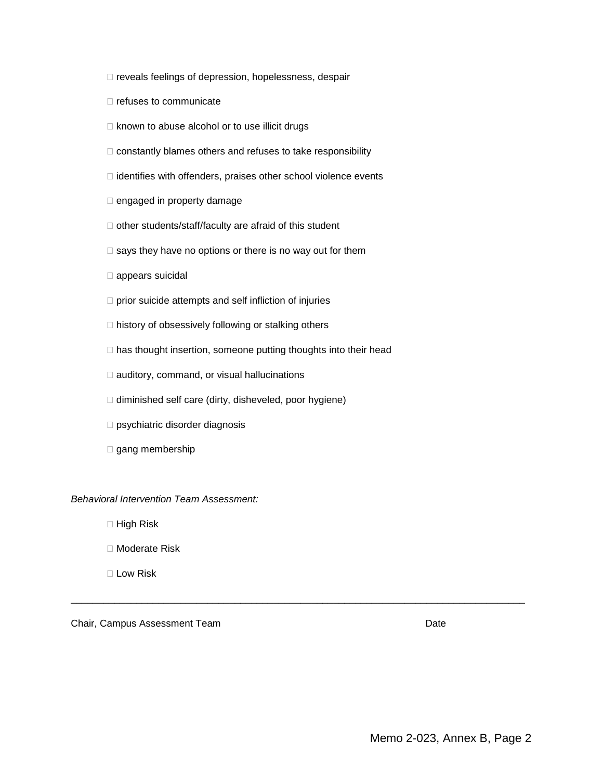- reveals feelings of depression, hopelessness, despair
- $\Box$  refuses to communicate
- $\Box$  known to abuse alcohol or to use illicit drugs
- $\Box$  constantly blames others and refuses to take responsibility
- $\Box$  identifies with offenders, praises other school violence events
- □ engaged in property damage
- $\Box$  other students/staff/faculty are afraid of this student
- $\square$  says they have no options or there is no way out for them
- appears suicidal
- $\Box$  prior suicide attempts and self infliction of injuries
- $\Box$  history of obsessively following or stalking others
- $\Box$  has thought insertion, someone putting thoughts into their head

\_\_\_\_\_\_\_\_\_\_\_\_\_\_\_\_\_\_\_\_\_\_\_\_\_\_\_\_\_\_\_\_\_\_\_\_\_\_\_\_\_\_\_\_\_\_\_\_\_\_\_\_\_\_\_\_\_\_\_\_\_\_\_\_\_\_\_\_\_\_\_\_\_\_\_\_\_\_\_\_\_\_\_

- $\Box$  auditory, command, or visual hallucinations
- $\Box$  diminished self care (dirty, disheveled, poor hygiene)
- □ psychiatric disorder diagnosis
- $\square$  gang membership

#### *Behavioral Intervention Team Assessment:*

- $\Box$  High Risk
- □ Moderate Risk
- □ Low Risk

Chair, Campus Assessment Team Date by the Chair, Campus Assessment Team Date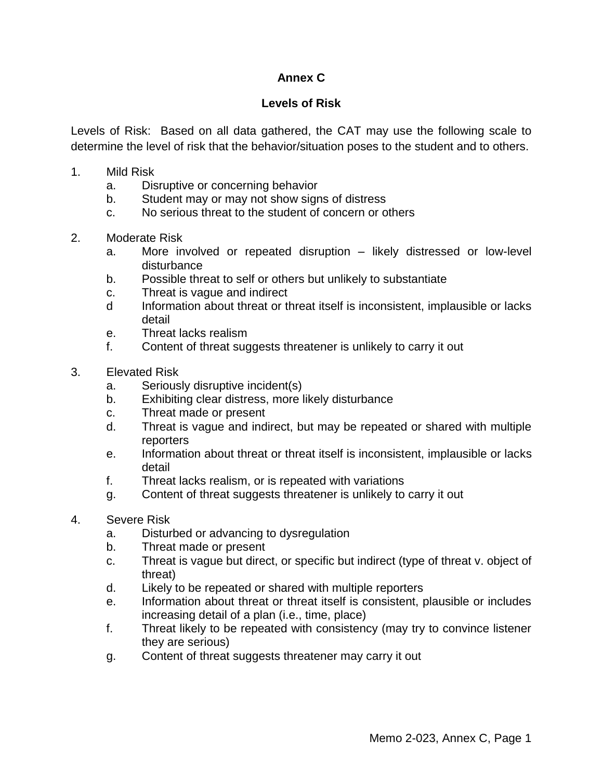# **Annex C**

## **Levels of Risk**

Levels of Risk: Based on all data gathered, the CAT may use the following scale to determine the level of risk that the behavior/situation poses to the student and to others.

- 1. Mild Risk
	- a. Disruptive or concerning behavior
	- b. Student may or may not show signs of distress
	- c. No serious threat to the student of concern or others
- 2. Moderate Risk
	- a. More involved or repeated disruption likely distressed or low-level disturbance
	- b. Possible threat to self or others but unlikely to substantiate
	- c. Threat is vague and indirect
	- d Information about threat or threat itself is inconsistent, implausible or lacks detail
	- e. Threat lacks realism
	- f. Content of threat suggests threatener is unlikely to carry it out
- 3. Elevated Risk
	- a. Seriously disruptive incident(s)
	- b. Exhibiting clear distress, more likely disturbance
	- c. Threat made or present
	- d. Threat is vague and indirect, but may be repeated or shared with multiple reporters
	- e. Information about threat or threat itself is inconsistent, implausible or lacks detail
	- f. Threat lacks realism, or is repeated with variations
	- g. Content of threat suggests threatener is unlikely to carry it out
- 4. Severe Risk
	- a. Disturbed or advancing to dysregulation
	- b. Threat made or present
	- c. Threat is vague but direct, or specific but indirect (type of threat v. object of threat)
	- d. Likely to be repeated or shared with multiple reporters
	- e. Information about threat or threat itself is consistent, plausible or includes increasing detail of a plan (i.e., time, place)
	- f. Threat likely to be repeated with consistency (may try to convince listener they are serious)
	- g. Content of threat suggests threatener may carry it out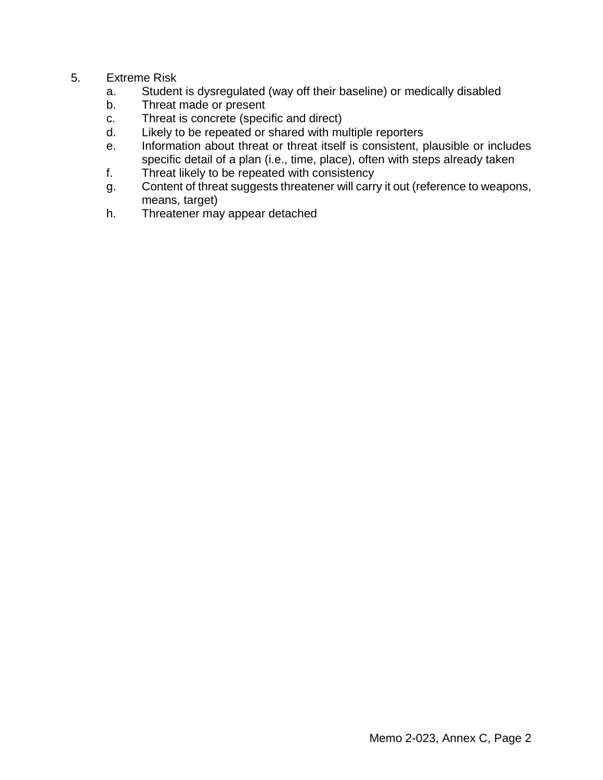## 5. Extreme Risk

- a. Student is dysregulated (way off their baseline) or medically disabled
- b. Threat made or present
- c. Threat is concrete (specific and direct)
- d. Likely to be repeated or shared with multiple reporters
- e. Information about threat or threat itself is consistent, plausible or includes specific detail of a plan (i.e., time, place), often with steps already taken
- f. Threat likely to be repeated with consistency
- g. Content of threat suggests threatener will carry it out (reference to weapons, means, target)
- h. Threatener may appear detached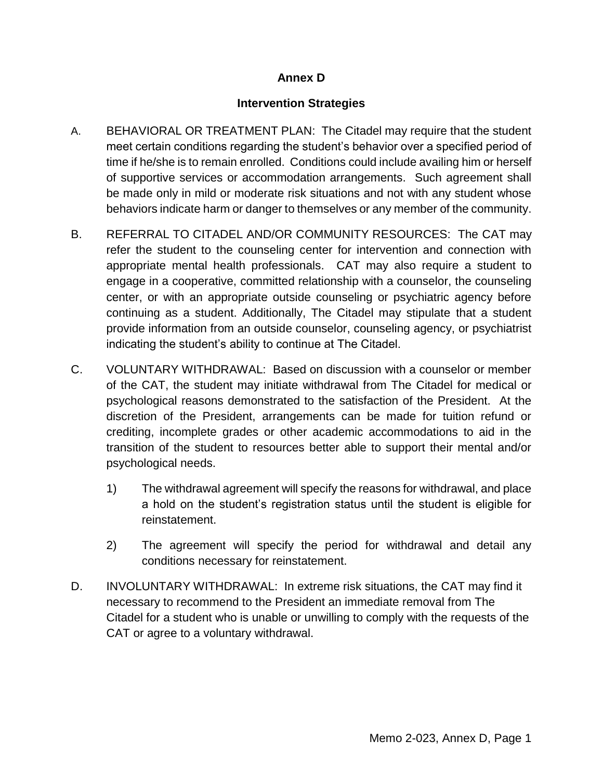## **Annex D**

## **Intervention Strategies**

- A. BEHAVIORAL OR TREATMENT PLAN: The Citadel may require that the student meet certain conditions regarding the student's behavior over a specified period of time if he/she is to remain enrolled. Conditions could include availing him or herself of supportive services or accommodation arrangements. Such agreement shall be made only in mild or moderate risk situations and not with any student whose behaviors indicate harm or danger to themselves or any member of the community.
- B. REFERRAL TO CITADEL AND/OR COMMUNITY RESOURCES: The CAT may refer the student to the counseling center for intervention and connection with appropriate mental health professionals. CAT may also require a student to engage in a cooperative, committed relationship with a counselor, the counseling center, or with an appropriate outside counseling or psychiatric agency before continuing as a student. Additionally, The Citadel may stipulate that a student provide information from an outside counselor, counseling agency, or psychiatrist indicating the student's ability to continue at The Citadel.
- C. VOLUNTARY WITHDRAWAL: Based on discussion with a counselor or member of the CAT, the student may initiate withdrawal from The Citadel for medical or psychological reasons demonstrated to the satisfaction of the President. At the discretion of the President, arrangements can be made for tuition refund or crediting, incomplete grades or other academic accommodations to aid in the transition of the student to resources better able to support their mental and/or psychological needs.
	- 1) The withdrawal agreement will specify the reasons for withdrawal, and place a hold on the student's registration status until the student is eligible for reinstatement.
	- 2) The agreement will specify the period for withdrawal and detail any conditions necessary for reinstatement.
- D. INVOLUNTARY WITHDRAWAL: In extreme risk situations, the CAT may find it necessary to recommend to the President an immediate removal from The Citadel for a student who is unable or unwilling to comply with the requests of the CAT or agree to a voluntary withdrawal.